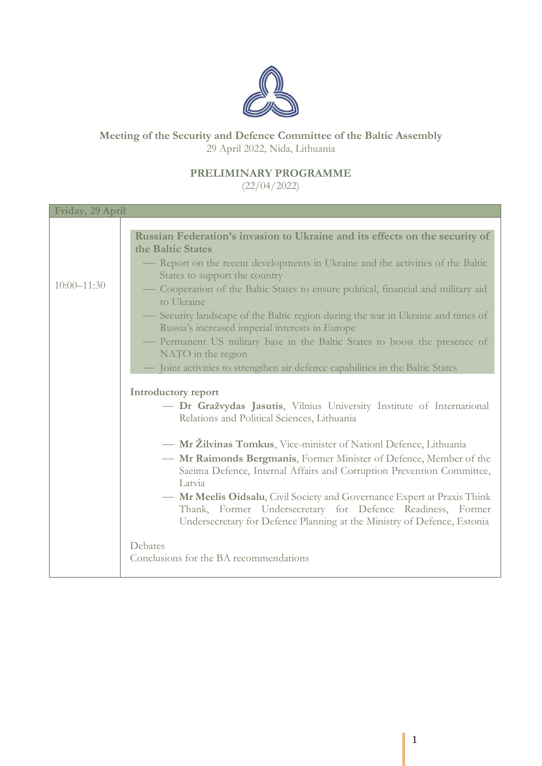

## **Meeting of the Security and Defence Committee of the Baltic Assembly** 29 April 2022, Nida, Lithuania

## **PRELIMINARY PROGRAMME**

(22/04/2022)

| Friday, 29 April |                                                                                  |
|------------------|----------------------------------------------------------------------------------|
|                  |                                                                                  |
|                  | Russian Federation's invasion to Ukraine and its effects on the security of      |
|                  | the Baltic States                                                                |
|                  | - Report on the recent developments in Ukraine and the activities of the Baltic  |
|                  | States to support the country                                                    |
| $10:00 - 11:30$  | Cooperation of the Baltic States to ensure political, financial and military aid |
|                  | to Ukraine                                                                       |
|                  | — Security landscape of the Baltic region during the war in Ukraine and times of |
|                  | Russia's increased imperial interests in Europe                                  |
|                  | Permanent US military base in the Baltic States to boost the presence of         |
|                  | NATO in the region                                                               |
|                  | Joint activities to strengthen air defence capabilities in the Baltic States     |
|                  |                                                                                  |
|                  | <b>Introductory report</b>                                                       |
|                  |                                                                                  |
|                  | - Dr Gražvydas Jasutis, Vilnius University Institute of International            |
|                  | Relations and Political Sciences, Lithuania                                      |
|                  |                                                                                  |
|                  | - Mr Žilvinas Tomkus, Vice-minister of Nationl Defence, Lithuania                |
|                  | - Mr Raimonds Bergmanis, Former Minister of Defence, Member of the               |
|                  | Saeima Defence, Internal Affairs and Corruption Prevention Committee,            |
|                  | Latvia                                                                           |
|                  | - Mr Meelis Oidsalu, Civil Society and Governance Expert at Praxis Think         |
|                  | Thank, Former Undersecretary for Defence Readiness, Former                       |
|                  | Undersecretary for Defence Planning at the Ministry of Defence, Estonia          |
|                  |                                                                                  |
|                  | Debates                                                                          |
|                  | Conclusions for the BA recommendations                                           |
|                  |                                                                                  |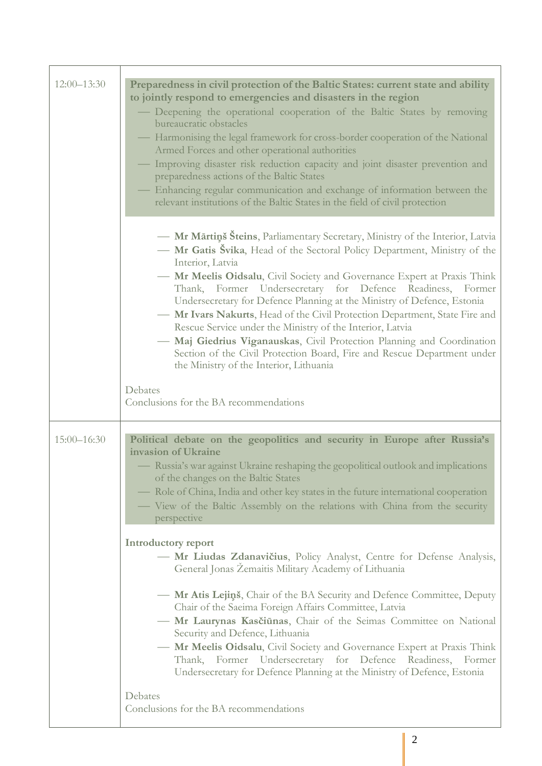| $12:00 - 13:30$ | Preparedness in civil protection of the Baltic States: current state and ability<br>to jointly respond to emergencies and disasters in the region<br>- Deepening the operational cooperation of the Baltic States by removing<br>bureaucratic obstacles<br>— Harmonising the legal framework for cross-border cooperation of the National<br>Armed Forces and other operational authorities                                                                                                                                                                                                                                                                                                                                                      |
|-----------------|--------------------------------------------------------------------------------------------------------------------------------------------------------------------------------------------------------------------------------------------------------------------------------------------------------------------------------------------------------------------------------------------------------------------------------------------------------------------------------------------------------------------------------------------------------------------------------------------------------------------------------------------------------------------------------------------------------------------------------------------------|
|                 | Improving disaster risk reduction capacity and joint disaster prevention and<br>preparedness actions of the Baltic States<br>- Enhancing regular communication and exchange of information between the<br>relevant institutions of the Baltic States in the field of civil protection                                                                                                                                                                                                                                                                                                                                                                                                                                                            |
|                 | - Mr Mārtiņš Šteins, Parliamentary Secretary, Ministry of the Interior, Latvia<br>- Mr Gatis Švika, Head of the Sectoral Policy Department, Ministry of the<br>Interior, Latvia<br>- Mr Meelis Oidsalu, Civil Society and Governance Expert at Praxis Think<br>Thank, Former Undersecretary for Defence Readiness, Former<br>Undersecretary for Defence Planning at the Ministry of Defence, Estonia<br>- Mr Ivars Nakurts, Head of the Civil Protection Department, State Fire and<br>Rescue Service under the Ministry of the Interior, Latvia<br>- Maj Giedrius Viganauskas, Civil Protection Planning and Coordination<br>Section of the Civil Protection Board, Fire and Rescue Department under<br>the Ministry of the Interior, Lithuania |
|                 | Debates<br>Conclusions for the BA recommendations                                                                                                                                                                                                                                                                                                                                                                                                                                                                                                                                                                                                                                                                                                |
| $15:00 - 16:30$ | Political debate on the geopolitics and security in Europe after Russia's<br>invasion of Ukraine<br>— Russia's war against Ukraine reshaping the geopolitical outlook and implications<br>of the changes on the Baltic States<br>Role of China, India and other key states in the future international cooperation<br>- View of the Baltic Assembly on the relations with China from the security<br>perspective                                                                                                                                                                                                                                                                                                                                 |
|                 | Introductory report<br>- Mr Liudas Zdanavičius, Policy Analyst, Centre for Defense Analysis,<br>General Jonas Zemaitis Military Academy of Lithuania<br>- Mr Atis Lejins, Chair of the BA Security and Defence Committee, Deputy<br>Chair of the Saeima Foreign Affairs Committee, Latvia<br>- Mr Laurynas Kasčiūnas, Chair of the Seimas Committee on National<br>Security and Defence, Lithuania<br>- Mr Meelis Oidsalu, Civil Society and Governance Expert at Praxis Think<br>Thank, Former Undersecretary for Defence Readiness, Former<br>Undersecretary for Defence Planning at the Ministry of Defence, Estonia                                                                                                                          |
|                 | Debates<br>Conclusions for the BA recommendations                                                                                                                                                                                                                                                                                                                                                                                                                                                                                                                                                                                                                                                                                                |

Ï